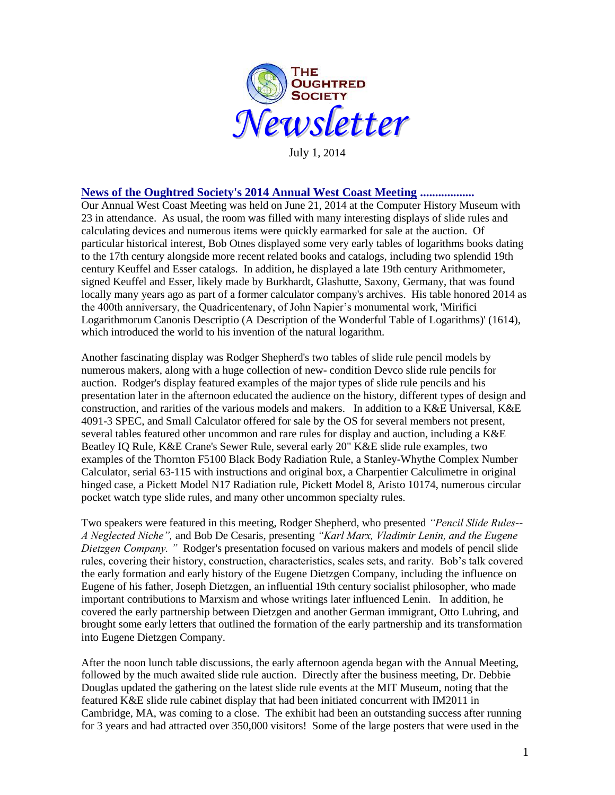

July 1, 2014

#### **News of the Oughtred Society's 2014 Annual West Coast Meeting ..................**

Our Annual West Coast Meeting was held on June 21, 2014 at the Computer History Museum with 23 in attendance. As usual, the room was filled with many interesting displays of slide rules and calculating devices and numerous items were quickly earmarked for sale at the auction. Of particular historical interest, Bob Otnes displayed some very early tables of logarithms books dating to the 17th century alongside more recent related books and catalogs, including two splendid 19th century Keuffel and Esser catalogs. In addition, he displayed a late 19th century Arithmometer, signed Keuffel and Esser, likely made by Burkhardt, Glashutte, Saxony, Germany, that was found locally many years ago as part of a former calculator company's archives. His table honored 2014 as the 400th anniversary, the Quadricentenary, of John Napier's monumental work, 'Mirifici Logarithmorum Canonis Descriptio (A Description of the Wonderful Table of Logarithms)' (1614), which introduced the world to his invention of the natural logarithm.

Another fascinating display was Rodger Shepherd's two tables of slide rule pencil models by numerous makers, along with a huge collection of new- condition Devco slide rule pencils for auction. Rodger's display featured examples of the major types of slide rule pencils and his presentation later in the afternoon educated the audience on the history, different types of design and construction, and rarities of the various models and makers. In addition to a K&E Universal, K&E 4091-3 SPEC, and Small Calculator offered for sale by the OS for several members not present, several tables featured other uncommon and rare rules for display and auction, including a K&E Beatley IQ Rule, K&E Crane's Sewer Rule, several early 20" K&E slide rule examples, two examples of the Thornton F5100 Black Body Radiation Rule, a Stanley-Whythe Complex Number Calculator, serial 63-115 with instructions and original box, a Charpentier Calculimetre in original hinged case, a Pickett Model N17 Radiation rule, Pickett Model 8, Aristo 10174, numerous circular pocket watch type slide rules, and many other uncommon specialty rules.

Two speakers were featured in this meeting, Rodger Shepherd, who presented *"Pencil Slide Rules-- A Neglected Niche",* and Bob De Cesaris, presenting *"Karl Marx, Vladimir Lenin, and the Eugene Dietzgen Company. "* Rodger's presentation focused on various makers and models of pencil slide rules, covering their history, construction, characteristics, scales sets, and rarity. Bob's talk covered the early formation and early history of the Eugene Dietzgen Company, including the influence on Eugene of his father, Joseph Dietzgen, an influential 19th century socialist philosopher, who made important contributions to Marxism and whose writings later influenced Lenin. In addition, he covered the early partnership between Dietzgen and another German immigrant, Otto Luhring, and brought some early letters that outlined the formation of the early partnership and its transformation into Eugene Dietzgen Company.

After the noon lunch table discussions, the early afternoon agenda began with the Annual Meeting, followed by the much awaited slide rule auction. Directly after the business meeting, Dr. Debbie Douglas updated the gathering on the latest slide rule events at the MIT Museum, noting that the featured K&E slide rule cabinet display that had been initiated concurrent with IM2011 in Cambridge, MA, was coming to a close. The exhibit had been an outstanding success after running for 3 years and had attracted over 350,000 visitors! Some of the large posters that were used in the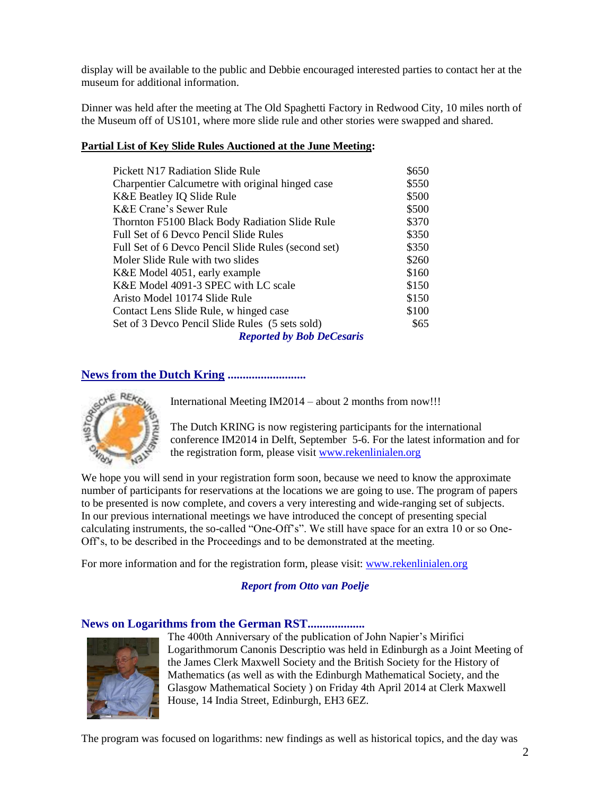display will be available to the public and Debbie encouraged interested parties to contact her at the museum for additional information.

Dinner was held after the meeting at The Old Spaghetti Factory in Redwood City, 10 miles north of the Museum off of US101, where more slide rule and other stories were swapped and shared.

#### **Partial List of Key Slide Rules Auctioned at the June Meeting:**

| <b>Pickett N17 Radiation Slide Rule</b>             | \$650 |
|-----------------------------------------------------|-------|
| Charpentier Calcumetre with original hinged case    | \$550 |
| K&E Beatley IQ Slide Rule                           | \$500 |
| K&E Crane's Sewer Rule                              | \$500 |
| Thornton F5100 Black Body Radiation Slide Rule      | \$370 |
| Full Set of 6 Devco Pencil Slide Rules              | \$350 |
| Full Set of 6 Devco Pencil Slide Rules (second set) | \$350 |
| Moler Slide Rule with two slides                    | \$260 |
| K&E Model 4051, early example                       | \$160 |
| K&E Model 4091-3 SPEC with LC scale                 | \$150 |
| Aristo Model 10174 Slide Rule                       | \$150 |
| Contact Lens Slide Rule, w hinged case              | \$100 |
| Set of 3 Devco Pencil Slide Rules (5 sets sold)     | \$65  |
| <b>Reported by Bob DeCesaris</b>                    |       |

# **News from the Dutch Kring ..........................**



International Meeting IM2014 – about 2 months from now!!!

The Dutch KRING is now registering participants for the international conference IM2014 in Delft, September 5-6. For the latest information and for the registration form, please visit [www.rekenlinialen.org](http://www.google.com/url?q=http%3A%2F%2Fwww.rekenlinialen.org%2F&sa=D&sntz=1&usg=AFQjCNGmICQIKoCsMhXtSy37CgTYS8aerQ)

We hope you will send in your registration form soon, because we need to know the approximate number of participants for reservations at the locations we are going to use. The program of papers to be presented is now complete, and covers a very interesting and wide-ranging set of subjects. In our previous international meetings we have introduced the concept of presenting special calculating instruments, the so-called "One-Off's". We still have space for an extra 10 or so One-Off's, to be described in the Proceedings and to be demonstrated at the meeting.

For more information and for the registration form, please visit: [www.rekenlinialen.org](http://www.rekenlinialen.org/)

# *Report from Otto van Poelje*

# **News on Logarithms from the German RST...................**



The 400th Anniversary of the publication of John Napier's Mirifici Logarithmorum Canonis Descriptio was held in Edinburgh as a Joint Meeting of the James Clerk Maxwell Society and the British Society for the History of Mathematics (as well as with the Edinburgh Mathematical Society, and the Glasgow Mathematical Society ) on Friday 4th April 2014 at Clerk Maxwell House, 14 India Street, Edinburgh, EH3 6EZ.

The program was focused on logarithms: new findings as well as historical topics, and the day was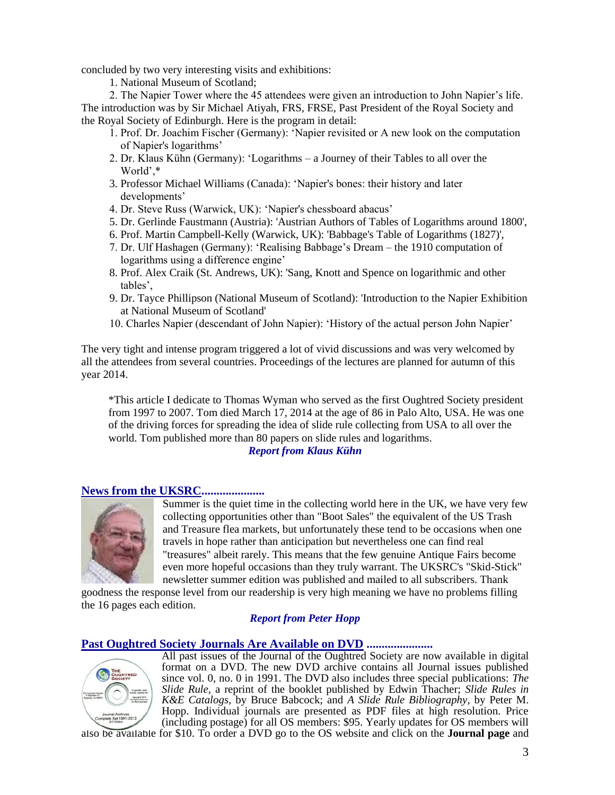concluded by two very interesting visits and exhibitions:

1. National Museum of Scotland;

2. The Napier Tower where the 45 attendees were given an introduction to John Napier's life. The introduction was by Sir Michael Atiyah, FRS, FRSE, Past President of the Royal Society and the Royal Society of Edinburgh. Here is the program in detail:

- 1. Prof. Dr. Joachim Fischer (Germany): 'Napier revisited or A new look on the computation of Napier's logarithms'
- 2. Dr. Klaus Kühn (Germany): 'Logarithms a Journey of their Tables to all over the World',\*
- 3. Professor Michael Williams (Canada): 'Napier's bones: their history and later developments'
- 4. Dr. Steve Russ (Warwick, UK): 'Napier's chessboard abacus'
- 5. Dr. Gerlinde Faustmann (Austria): 'Austrian Authors of Tables of Logarithms around 1800',
- 6. Prof. Martin Campbell-Kelly (Warwick, UK): 'Babbage's Table of Logarithms (1827)',
- 7. Dr. Ulf Hashagen (Germany): 'Realising Babbage's Dream the 1910 computation of logarithms using a difference engine'
- 8. Prof. Alex Craik (St. Andrews, UK): 'Sang, Knott and Spence on logarithmic and other tables',
- 9. Dr. Tayce Phillipson (National Museum of Scotland): 'Introduction to the Napier Exhibition at National Museum of Scotland'
- 10. Charles Napier (descendant of John Napier): 'History of the actual person John Napier'

The very tight and intense program triggered a lot of vivid discussions and was very welcomed by all the attendees from several countries. Proceedings of the lectures are planned for autumn of this year 2014.

\*This article I dedicate to Thomas Wyman who served as the first Oughtred Society president from 1997 to 2007. Tom died March 17, 2014 at the age of 86 in Palo Alto, USA. He was one of the driving forces for spreading the idea of slide rule collecting from USA to all over the world. Tom published more than 80 papers on slide rules and logarithms.

#### *Report from Klaus Kühn*

#### **News from the UKSRC.....................**



Summer is the quiet time in the collecting world here in the UK, we have very few collecting opportunities other than "Boot Sales" the equivalent of the US Trash and Treasure flea markets, but unfortunately these tend to be occasions when one travels in hope rather than anticipation but nevertheless one can find real "treasures" albeit rarely. This means that the few genuine Antique Fairs become even more hopeful occasions than they truly warrant. The UKSRC's "Skid-Stick" newsletter summer edition was published and mailed to all subscribers. Thank

goodness the response level from our readership is very high meaning we have no problems filling the 16 pages each edition.

#### *Report from Peter Hopp*

#### **Past Oughtred Society Journals Are Available on DVD ......................**



All past issues of the Journal of the Oughtred Society are now available in digital format on a DVD. The new DVD archive contains all Journal issues published since vol. 0, no. 0 in 1991. The DVD also includes three special publications: *The Slide Rule,* a reprint of the booklet published by Edwin Thacher; *Slide Rules in K&E Catalogs,* by Bruce Babcock; and *A Slide Rule Bibliography*, by Peter M. Hopp. Individual journals are presented as PDF files at high resolution. Price (including postage) for all OS members: \$95. Yearly updates for OS members will

also be available for \$10. To order a DVD go to the OS website and click on the **[Journal page](http://www.oughtred.org/journal.shtml#dvd)** and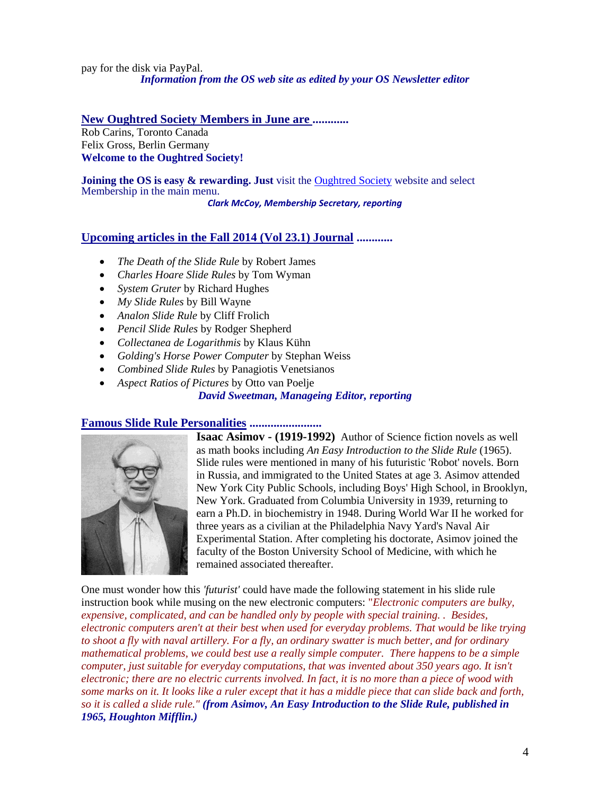pay for the disk via PayPal. *Information from the OS web site as edited by your OS Newsletter editor*

# **New Oughtred Society Members in June are ............**

Rob Carins, Toronto Canada Felix Gross, Berlin Germany **Welcome to the Oughtred Society!** 

**Joining the OS is easy & rewarding. Just** visit the [Oughtred Society](http://www.oughtred.org/) website and select Membership in the main menu.

*Clark McCoy, Membership Secretary, reporting*

# **Upcoming articles in the Fall 2014 (Vol 23.1) Journal ............**

- *The Death of the Slide Rule* by Robert James
- *Charles Hoare Slide Rules* by Tom Wyman
- *System Gruter* by Richard Hughes
- *My Slide Rules* by Bill Wayne
- *Analon Slide Rule* by Cliff Frolich
- *Pencil Slide Rules* by Rodger Shepherd
- *Collectanea de Logarithmis* by Klaus Kühn
- *Golding's Horse Power Computer* by Stephan Weiss
- *Combined Slide Rules* by Panagiotis Venetsianos
- *Aspect Ratios of Pictures* by Otto van Poelje

*David Sweetman, Manageing Editor, reporting*

# **Famous Slide Rule Personalities ........................**



**Isaac Asimov - (1919-1992)** Author of Science fiction novels as well as math books including *An Easy Introduction to the Slide Rule* (1965). Slide rules were mentioned in many of his futuristic 'Robot' novels. Born in Russia, and immigrated to the United States at age 3. Asimov attended New York City Public Schools, including Boys' High School, in Brooklyn, New York. Graduated from Columbia University in 1939, returning to earn a Ph.D. in biochemistry in 1948. During World War II he worked for three years as a civilian at the Philadelphia Navy Yard's Naval Air Experimental Station. After completing his doctorate, Asimov joined the faculty of the Boston University School of Medicine, with which he remained associated thereafter.

One must wonder how this *'futurist'* could have made the following statement in his slide rule instruction book while musing on the new electronic computers: "*Electronic computers are bulky, expensive, complicated, and can be handled only by people with special training. . Besides, electronic computers aren't at their best when used for everyday problems. That would be like trying to shoot a fly with naval artillery. For a fly, an ordinary swatter is much better, and for ordinary mathematical problems, we could best use a really simple computer. There happens to be a simple computer, just suitable for everyday computations, that was invented about 350 years ago. It isn't electronic; there are no electric currents involved. In fact, it is no more than a piece of wood with some marks on it. It looks like a ruler except that it has a middle piece that can slide back and forth, so it is called a slide rule." (from Asimov, An Easy Introduction to the Slide Rule, published in 1965, Houghton Mifflin.)*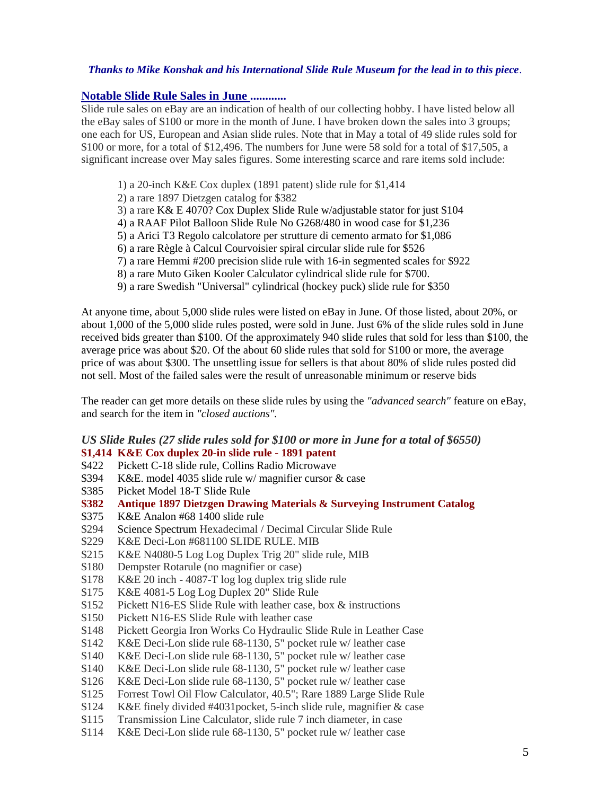#### *Thanks to Mike Konshak and his International Slide Rule Museum for the lead in to this piece*.

#### **Notable Slide Rule Sales in June ............**

Slide rule sales on eBay are an indication of health of our collecting hobby. I have listed below all the eBay sales of \$100 or more in the month of June. I have broken down the sales into 3 groups; one each for US, European and Asian slide rules. Note that in May a total of 49 slide rules sold for \$100 or more, for a total of \$12,496. The numbers for June were 58 sold for a total of \$17,505, a significant increase over May sales figures. Some interesting scarce and rare items sold include:

- 1) a 20-inch K&E Cox duplex (1891 patent) slide rule for \$1,414
- 2) a rare 1897 Dietzgen catalog for \$382
- 3) a rare K& E 4070? Cox Duplex Slide Rule w/adjustable stator for just \$104
- 4) a RAAF Pilot Balloon Slide Rule No G268/480 in wood case for \$1,236
- 5) a Arici T3 Regolo calcolatore per strutture di cemento armato for \$1,086
- 6) a rare Règle à Calcul Courvoisier spiral circular slide rule for \$526
- 7) a rare Hemmi #200 precision slide rule with 16-in segmented scales for \$922
- 8) a rare Muto Giken Kooler Calculator cylindrical slide rule for \$700.
- 9) a rare Swedish "Universal" cylindrical (hockey puck) slide rule for \$350

At anyone time, about 5,000 slide rules were listed on eBay in June. Of those listed, about 20%, or about 1,000 of the 5,000 slide rules posted, were sold in June. Just 6% of the slide rules sold in June received bids greater than \$100. Of the approximately 940 slide rules that sold for less than \$100, the average price was about \$20. Of the about 60 slide rules that sold for \$100 or more, the average price of was about \$300. The unsettling issue for sellers is that about 80% of slide rules posted did not sell. Most of the failed sales were the result of unreasonable minimum or reserve bids

The reader can get more details on these slide rules by using the *"advanced search"* feature on eBay, and search for the item in *"closed auctions".*

#### *US Slide Rules (27 slide rules sold for \$100 or more in June for a total of \$6550)* **\$1,414 K&E Cox duplex 20-in slide rule - 1891 patent**

- \$422 Pickett C-18 slide rule, Collins Radio Microwave
- \$394 K&E. model 4035 slide rule w/ magnifier cursor & case
- \$385 Picket Model 18-T Slide Rule
- **\$382 Antique 1897 Dietzgen Drawing Materials & Surveying Instrument Catalog**
- \$375 K&E Analon #68 1400 slide rule
- \$294 Science Spectrum Hexadecimal / Decimal Circular Slide Rule
- \$229 K&E Deci-Lon #681100 SLIDE RULE. MIB
- \$215 K&E N4080-5 Log Log Duplex Trig 20" slide rule, MIB
- \$180 Dempster Rotarule (no magnifier or case)
- \$178 K&E 20 inch 4087-T log log duplex trig slide rule
- \$175 K&E 4081-5 Log Log Duplex 20" Slide Rule
- \$152 Pickett N16-ES Slide Rule with leather case, box & instructions
- \$150 Pickett N16-ES Slide Rule with leather case
- \$148 Pickett Georgia Iron Works Co Hydraulic Slide Rule in Leather Case
- \$142 K&E Deci-Lon slide rule 68-1130, 5" pocket rule w/ leather case
- \$140 K&E Deci-Lon slide rule 68-1130, 5" pocket rule w/ leather case
- \$140 K&E Deci-Lon slide rule 68-1130, 5" pocket rule w/ leather case
- \$126 K&E Deci-Lon slide rule 68-1130, 5" pocket rule w/ leather case
- \$125 Forrest Towl Oil Flow Calculator, 40.5"; Rare 1889 Large Slide Rule
- \$124 K&E finely divided #4031pocket, 5-inch slide rule, magnifier & case
- \$115 Transmission Line Calculator, slide rule 7 inch diameter, in case
- \$114 K&E Deci-Lon slide rule 68-1130, 5" pocket rule w/ leather case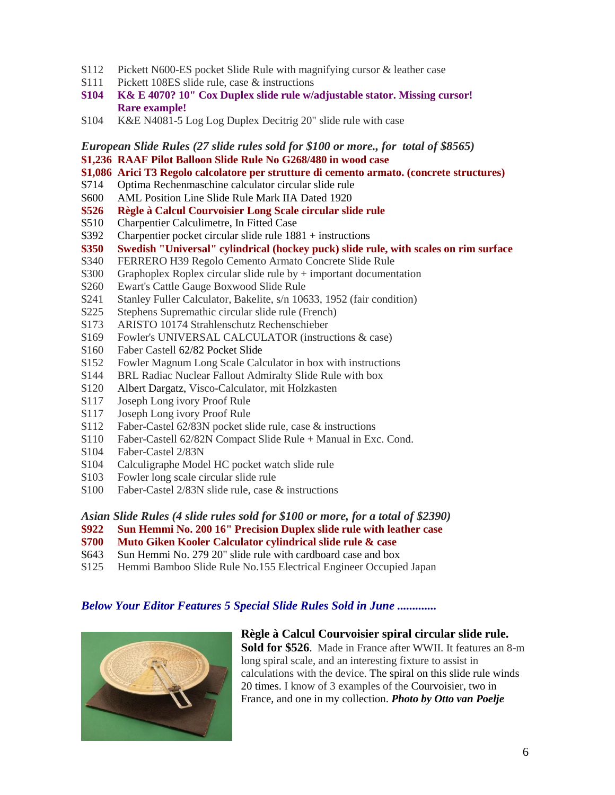- \$112 Pickett N600-ES pocket Slide Rule with magnifying cursor & leather case
- \$111 Pickett 108ES slide rule, case & instructions
- **\$104 K& E 4070? 10" Cox Duplex slide rule w/adjustable stator. Missing cursor! Rare example!**
- \$104 K&E N4081-5 Log Log Duplex Decitrig 20" slide rule with case

*European Slide Rules (27 slide rules sold for \$100 or more., for total of \$8565)* **\$1,236 RAAF Pilot Balloon Slide Rule No G268/480 in wood case**

**\$1,086 Arici T3 Regolo calcolatore per strutture di cemento armato. (concrete structures)**

- \$714 Optima Rechenmaschine calculator circular slide rule
- \$600 AML Position Line Slide Rule Mark IIA Dated 1920
- **\$526 Règle à Calcul Courvoisier Long Scale circular slide rule**
- \$510 Charpentier Calculimetre, In Fitted Case
- \$392 Charpentier pocket circular slide rule 1881 + instructions
- **\$350 Swedish "Universal" cylindrical (hockey puck) slide rule, with scales on rim surface**
- \$340 FERRERO H39 Regolo Cemento Armato Concrete Slide Rule
- \$300 Graphoplex Roplex circular slide rule by + important documentation
- \$260 Ewart's Cattle Gauge Boxwood Slide Rule
- \$241 Stanley Fuller Calculator, Bakelite, s/n 10633, 1952 (fair condition)
- \$225 Stephens Supremathic circular slide rule (French)
- \$173 ARISTO 10174 Strahlenschutz Rechenschieber
- \$169 Fowler's UNIVERSAL CALCULATOR (instructions & case)
- \$160 Faber Castell [62/82 Pocket Slide](http://www.ebay.com/itm/7-5-62-82-Faber-Castell-Pocket-Slide-Ruler-Brand-New-/201111286682?pt=LH_DefaultDomain_0&hash=item2ed32ab39a)
- \$152 Fowler Magnum Long Scale Calculator in box with instructions
- \$144 BRL Radiac Nuclear Fallout Admiralty Slide Rule with box
- \$120 Albert Dargatz, Visco-Calculator, mit Holzkasten
- \$117 Joseph Long ivory Proof Rule
- \$117 Joseph Long ivory Proof Rule
- \$112 Faber-Castel 62/83N pocket slide rule, case & instructions
- \$110 Faber-Castell 62/82N Compact Slide Rule + Manual in Exc. Cond.
- \$104 Faber-Castel 2/83N
- \$104 Calculigraphe Model HC pocket watch slide rule
- \$103 Fowler long scale circular slide rule
- \$100 Faber-Castel 2/83N slide rule, case & instructions
- *Asian Slide Rules (4 slide rules sold for \$100 or more, for a total of \$2390)*
- **\$922 Sun Hemmi No. 200 16" Precision Duplex slide rule with leather case**
- **\$700 Muto Giken Kooler Calculator cylindrical slide rule & case**
- \$643 Sun Hemmi No. 279 20" slide rule with cardboard case and box
- \$125 Hemmi Bamboo Slide Rule No.155 Electrical Engineer Occupied Japan

# *Below Your Editor Features 5 Special Slide Rules Sold in June .............*



#### **Règle à Calcul Courvoisier spiral circular slide rule.**

**Sold for \$526**. Made in France after WWII. It features an 8-m long spiral scale, and an interesting fixture to assist in calculations with the device. The spiral on this slide rule winds 20 times. I know of 3 examples of the Courvoisier, two in France, and one in my collection. *Photo by Otto van Poelje*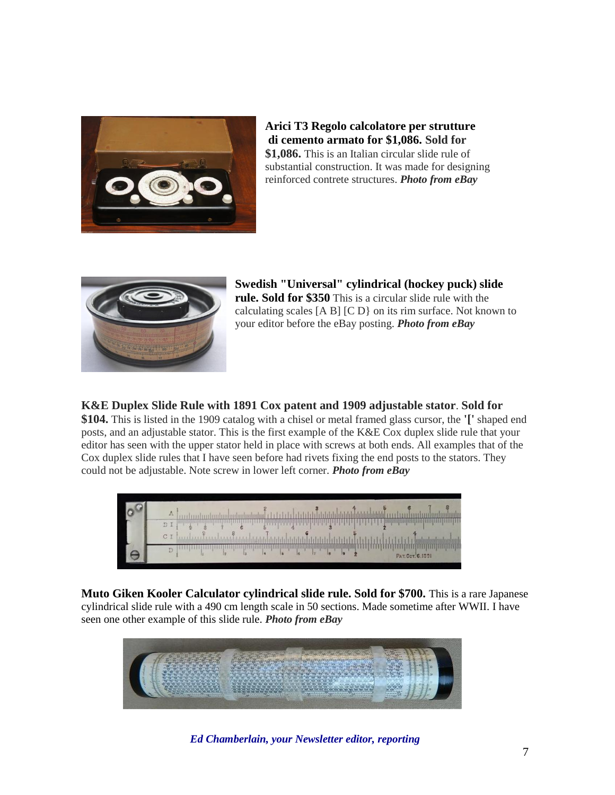

#### **Arici T3 Regolo calcolatore per strutture di cemento armato for \$1,086. Sold for \$1,086.** This is an Italian circular slide rule of substantial construction. It was made for designing

reinforced contrete structures. *Photo from eBay*



**Swedish "Universal" cylindrical (hockey puck) slide rule. Sold for \$350** This is a circular slide rule with the calculating scales [A B] [C D} on its rim surface. Not known to your editor before the eBay posting. *Photo from eBay*

**K&E Duplex Slide Rule with 1891 Cox patent and 1909 adjustable stator**. **Sold for \$104.** This is listed in the 1909 catalog with a chisel or metal framed glass cursor, the **'['** shaped end posts, and an adjustable stator. This is the first example of the K&E Cox duplex slide rule that your editor has seen with the upper stator held in place with screws at both ends. All examples that of the Cox duplex slide rules that I have seen before had rivets fixing the end posts to the stators. They could not be adjustable. Note screw in lower left corner. *Photo from eBay*



**Muto Giken Kooler Calculator cylindrical slide rule. Sold for \$700.** This is a rare Japanese cylindrical slide rule with a 490 cm length scale in 50 sections. Made sometime after WWII. I have seen one other example of this slide rule. *Photo from eBay*



*Ed Chamberlain, your Newsletter editor, reporting*